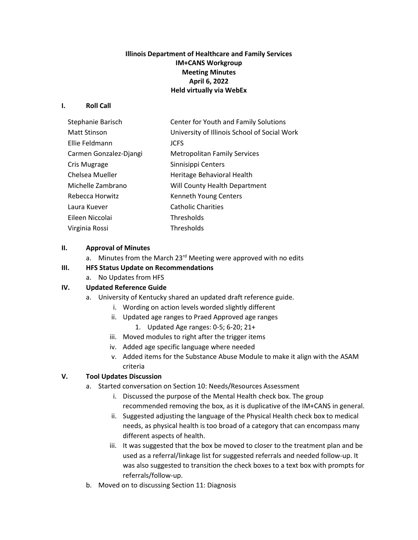# **Illinois Department of Healthcare and Family Services IM+CANS Workgroup Meeting Minutes April 6, 2022 Held virtually via WebEx**

#### **I. Roll Call**

| Stephanie Barisch      | Center for Youth and Family Solutions        |
|------------------------|----------------------------------------------|
| Matt Stinson           | University of Illinois School of Social Work |
| Ellie Feldmann         | <b>JCFS</b>                                  |
| Carmen Gonzalez-Djangi | <b>Metropolitan Family Services</b>          |
| Cris Mugrage           | Sinnisippi Centers                           |
| Chelsea Mueller        | Heritage Behavioral Health                   |
| Michelle Zambrano      | Will County Health Department                |
| Rebecca Horwitz        | Kenneth Young Centers                        |
| Laura Kuever           | <b>Catholic Charities</b>                    |
| Eileen Niccolai        | Thresholds                                   |
| Virginia Rossi         | Thresholds                                   |

#### **II. Approval of Minutes**

- a. Minutes from the March  $23^{rd}$  Meeting were approved with no edits
- **III. HFS Status Update on Recommendations**
	- a. No Updates from HFS

### **IV. Updated Reference Guide**

- a. University of Kentucky shared an updated draft reference guide.
	- i. Wording on action levels worded slightly different
	- ii. Updated age ranges to Praed Approved age ranges
		- 1. Updated Age ranges: 0-5; 6-20; 21+
	- iii. Moved modules to right after the trigger items
	- iv. Added age specific language where needed
	- v. Added items for the Substance Abuse Module to make it align with the ASAM criteria

### **V. Tool Updates Discussion**

- a. Started conversation on Section 10: Needs/Resources Assessment
	- i. Discussed the purpose of the Mental Health check box. The group recommended removing the box, as it is duplicative of the IM+CANS in general.
	- ii. Suggested adjusting the language of the Physical Health check box to medical needs, as physical health is too broad of a category that can encompass many different aspects of health.
	- iii. It was suggested that the box be moved to closer to the treatment plan and be used as a referral/linkage list for suggested referrals and needed follow-up. It was also suggested to transition the check boxes to a text box with prompts for referrals/follow-up.
- b. Moved on to discussing Section 11: Diagnosis